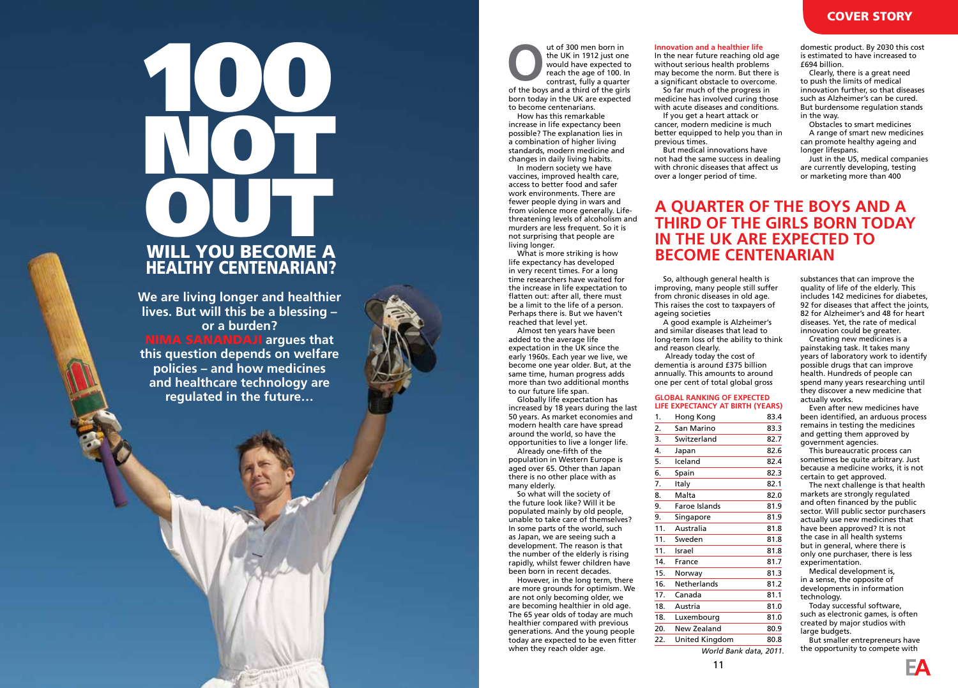### COVER STORY

# 100 NOT WILL VOLLBECOME A WILL YOU BECOME A **BECOME A BECOME CENTENARIAN** HEALTHY CENTENARIAN?

**We are living longer and healthier lives. But will this be a blessing – or a burden?**  NIMA SANANDAJI **argues that this question depends on welfare policies – and how medicines and healthcare technology are regulated in the future…**

ut of 300 men born in the UK in 1912 just one would have expected to reach the age of 100. In contrast, fully a quarter If the UK in 1912 just one<br>
would have expected to<br>
reach the age of 100. In<br>
contrast, fully a quarter<br>
of the boys and a third of the girls born today in the UK are expected to become centenarians.

How has this remarkable increase in life expectancy been possible? The explanation lies in a combination of higher living standards, modern medicine and changes in daily living habits.

In modern society we have vaccines, improved health care, access to better food and safer work environments. There are fewer people dying in wars and from violence more generally. Lifethreatening levels of alcoholism and murders are less frequent. So it is not surprising that people are living longer.

What is more striking is how life expectancy has developed in very recent times. For a long time researchers have waited for the increase in life expectation to flatten out: after all, there must be a limit to the life of a person. Perhaps there is. But we haven't reached that level yet.

Almost ten years have been added to the average life expectation in the UK since the early 1960s. Each year we live, we become one year older. But, at the same time, human progress adds more than two additional months to our future life span.

Globally life expectation has increased by 18 years during the last 50 years. As market economies and modern health care have spread around the world, so have the opportunities to live a longer life.

Already one-fifth of the population in Western Europe is aged over 65. Other than Japan there is no other place with as many elderly.

So what will the society of the future look like? Will it be populated mainly by old people, unable to take care of themselves? In some parts of the world, such as Japan, we are seeing such a development. The reason is that the number of the elderly is rising rapidly, whilst fewer children have been born in recent decades.

However, in the long term, there are more grounds for optimism. We are not only becoming older, we are becoming healthier in old age. The 65 year olds of today are much healthier compared with previous generations. And the young people today are expected to be even fitter when they reach older age.

**Innovation and a healthier life**

In the near future reaching old age without serious health problems may become the norm. But there is a significant obstacle to overcome.

So far much of the progress in medicine has involved curing those with acute diseases and conditions. If you get a heart attack or cancer, modern medicine is much better equipped to help you than in

previous times. But medical innovations have not had the same success in dealing with chronic diseases that affect us over a longer period of time.

domestic product. By 2030 this cost is estimated to have increased to £694 billion.

Clearly, there is a great need to push the limits of medical innovation further, so that diseases such as Alzheimer's can be cured. But burdensome regulation stands in the way.

Obstacles to smart medicines A range of smart new medicines can promote healthy ageing and longer lifespans.

Just in the US, medical companies are currently developing, testing or marketing more than 400

## **A QUARTER OF THE BOYS AND A THIRD OF THE GIRLS BORN TODAY IN THE UK ARE EXPECTED TO**

So, although general health is improving, many people still suffer from chronic diseases in old age. This raises the cost to taxpayers of ageing societies

A good example is Alzheimer's and similar diseases that lead to long-term loss of the ability to think and reason clearly.

 Already today the cost of dementia is around £375 billion annually. This amounts to around one per cent of total global gross

### **GLOBAL RANKING OF EXPECTED LIFE EXPECTANCY AT BIRTH (YEARS)**

| 1.  | Hong Kong      | 83.4 |
|-----|----------------|------|
| 2.  | San Marino     | 83.3 |
| 3.  | Switzerland    | 82.7 |
| 4.  | Japan          | 82.6 |
| 5.  | Iceland        | 82.4 |
| 6.  | Spain          | 82.3 |
| 7.  | Italy          | 82.1 |
| 8.  | Malta          | 82.0 |
| 9.  | Faroe Islands  | 81.9 |
| 9.  | Singapore      | 81.9 |
| 11. | Australia      | 81.8 |
| 11. | Sweden         | 81.8 |
| 11. | Israel         | 81.8 |
| 14. | France         | 81.7 |
| 15. | Norway         | 81.3 |
| 16. | Netherlands    | 81.2 |
| 17. | Canada         | 81.1 |
| 18. | Austria        | 81.0 |
| 18. | Luxembourg     | 81.0 |
| 20. | New Zealand    | 80.9 |
| 22. | United Kingdom | 80.8 |

*World Bank data, 2011.*

substances that can improve the quality of life of the elderly. This includes 142 medicines for diabetes, 92 for diseases that affect the joints, 82 for Alzheimer's and 48 for heart diseases. Yet, the rate of medical innovation could be greater.

Creating new medicines is a painstaking task. It takes many years of laboratory work to identify possible drugs that can improve health. Hundreds of people can spend many years researching until they discover a new medicine that actually works.

Even after new medicines have been identified, an arduous process remains in testing the medicines and getting them approved by government agencies.

This bureaucratic process can sometimes be quite arbitrary. Just because a medicine works, it is not certain to get approved.

The next challenge is that health markets are strongly regulated and often financed by the public sector. Will public sector purchasers actually use new medicines that have been approved? It is not the case in all health systems but in general, where there is only one purchaser, there is less experimentation.

Medical development is, in a sense, the opposite of developments in information technology.

Today successful software, such as electronic games, is often created by major studios with large budgets.

But smaller entrepreneurs have the opportunity to compete with